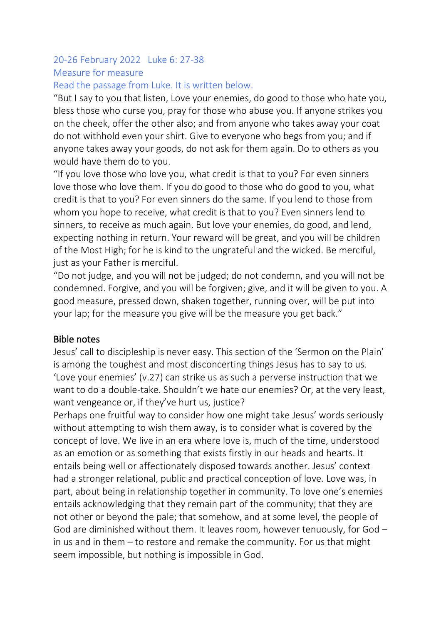# 20-26 February 2022 Luke 6: 27-38 Measure for measure

#### Read the passage from Luke. It is written below.

"But I say to you that listen, Love your enemies, do good to those who hate you, bless those who curse you, pray for those who abuse you. If anyone strikes you on the cheek, offer the other also; and from anyone who takes away your coat do not withhold even your shirt. Give to everyone who begs from you; and if anyone takes away your goods, do not ask for them again. Do to others as you would have them do to you.

"If you love those who love you, what credit is that to you? For even sinners love those who love them. If you do good to those who do good to you, what credit is that to you? For even sinners do the same. If you lend to those from whom you hope to receive, what credit is that to you? Even sinners lend to sinners, to receive as much again. But love your enemies, do good, and lend, expecting nothing in return. Your reward will be great, and you will be children of the Most High; for he is kind to the ungrateful and the wicked. Be merciful, just as your Father is merciful.

"Do not judge, and you will not be judged; do not condemn, and you will not be condemned. Forgive, and you will be forgiven; give, and it will be given to you. A good measure, pressed down, shaken together, running over, will be put into your lap; for the measure you give will be the measure you get back."

#### Bible notes

Jesus' call to discipleship is never easy. This section of the 'Sermon on the Plain' is among the toughest and most disconcerting things Jesus has to say to us. 'Love your enemies' (v.27) can strike us as such a perverse instruction that we want to do a double-take. Shouldn't we hate our enemies? Or, at the very least, want vengeance or, if they've hurt us, justice?

Perhaps one fruitful way to consider how one might take Jesus' words seriously without attempting to wish them away, is to consider what is covered by the concept of love. We live in an era where love is, much of the time, understood as an emotion or as something that exists firstly in our heads and hearts. It entails being well or affectionately disposed towards another. Jesus' context had a stronger relational, public and practical conception of love. Love was, in part, about being in relationship together in community. To love one's enemies entails acknowledging that they remain part of the community; that they are not other or beyond the pale; that somehow, and at some level, the people of God are diminished without them. It leaves room, however tenuously, for God – in us and in them – to restore and remake the community. For us that might seem impossible, but nothing is impossible in God.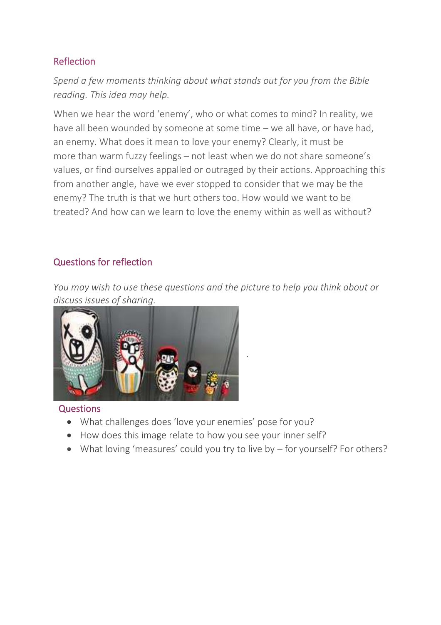## Reflection

*Spend a few moments thinking about what stands out for you from the Bible reading. This idea may help.*

When we hear the word 'enemy', who or what comes to mind? In reality, we have all been wounded by someone at some time – we all have, or have had, an enemy. What does it mean to love your enemy? Clearly, it must be more than warm fuzzy feelings – not least when we do not share someone's values, or find ourselves appalled or outraged by their actions. Approaching this from another angle, have we ever stopped to consider that we may be the enemy? The truth is that we hurt others too. How would we want to be treated? And how can we learn to love the enemy within as well as without?

### Questions for reflection

*You may wish to use these questions and the picture to help you think about or [discuss issues of sharing.](https://www.rootsontheweb.com/media/23420/russian-dolls.jpg)*



**Questions** 

- What challenges does 'love your enemies' pose for you?
- How does this image relate to how you see your inner self?
- What loving 'measures' could you try to live by for yourself? For others?

.